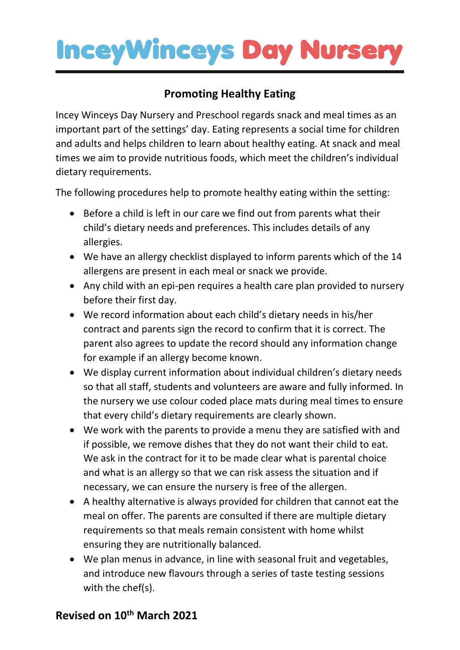## **InceyWinceys Day Nursery**

### **Promoting Healthy Eating**

Incey Winceys Day Nursery and Preschool regards snack and meal times as an important part of the settings' day. Eating represents a social time for children and adults and helps children to learn about healthy eating. At snack and meal times we aim to provide nutritious foods, which meet the children's individual dietary requirements.

The following procedures help to promote healthy eating within the setting:

- Before a child is left in our care we find out from parents what their child's dietary needs and preferences. This includes details of any allergies.
- We have an allergy checklist displayed to inform parents which of the 14 allergens are present in each meal or snack we provide.
- Any child with an epi-pen requires a health care plan provided to nursery before their first day.
- We record information about each child's dietary needs in his/her contract and parents sign the record to confirm that it is correct. The parent also agrees to update the record should any information change for example if an allergy become known.
- We display current information about individual children's dietary needs so that all staff, students and volunteers are aware and fully informed. In the nursery we use colour coded place mats during meal times to ensure that every child's dietary requirements are clearly shown.
- We work with the parents to provide a menu they are satisfied with and if possible, we remove dishes that they do not want their child to eat. We ask in the contract for it to be made clear what is parental choice and what is an allergy so that we can risk assess the situation and if necessary, we can ensure the nursery is free of the allergen.
- A healthy alternative is always provided for children that cannot eat the meal on offer. The parents are consulted if there are multiple dietary requirements so that meals remain consistent with home whilst ensuring they are nutritionally balanced.
- We plan menus in advance, in line with seasonal fruit and vegetables, and introduce new flavours through a series of taste testing sessions with the chef(s).

#### **Revised on 10th March 2021**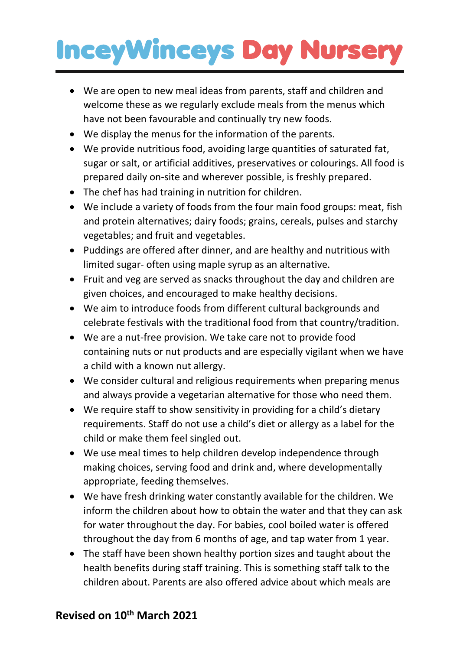# **InceyWinceys Day Nursery**

- We are open to new meal ideas from parents, staff and children and welcome these as we regularly exclude meals from the menus which have not been favourable and continually try new foods.
- We display the menus for the information of the parents.
- We provide nutritious food, avoiding large quantities of saturated fat, sugar or salt, or artificial additives, preservatives or colourings. All food is prepared daily on-site and wherever possible, is freshly prepared.
- The chef has had training in nutrition for children.
- We include a variety of foods from the four main food groups: meat, fish and protein alternatives; dairy foods; grains, cereals, pulses and starchy vegetables; and fruit and vegetables.
- Puddings are offered after dinner, and are healthy and nutritious with limited sugar- often using maple syrup as an alternative.
- Fruit and veg are served as snacks throughout the day and children are given choices, and encouraged to make healthy decisions.
- We aim to introduce foods from different cultural backgrounds and celebrate festivals with the traditional food from that country/tradition.
- We are a nut-free provision. We take care not to provide food containing nuts or nut products and are especially vigilant when we have a child with a known nut allergy.
- We consider cultural and religious requirements when preparing menus and always provide a vegetarian alternative for those who need them.
- We require staff to show sensitivity in providing for a child's dietary requirements. Staff do not use a child's diet or allergy as a label for the child or make them feel singled out.
- We use meal times to help children develop independence through making choices, serving food and drink and, where developmentally appropriate, feeding themselves.
- We have fresh drinking water constantly available for the children. We inform the children about how to obtain the water and that they can ask for water throughout the day. For babies, cool boiled water is offered throughout the day from 6 months of age, and tap water from 1 year.
- The staff have been shown healthy portion sizes and taught about the health benefits during staff training. This is something staff talk to the children about. Parents are also offered advice about which meals are

#### **Revised on 10th March 2021**